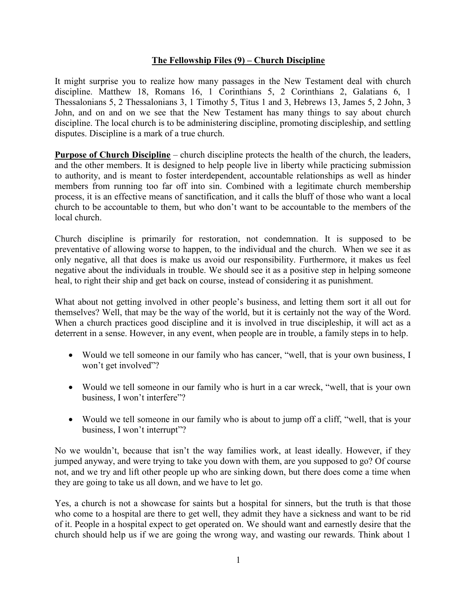## **The Fellowship Files (9) – Church Discipline**

It might surprise you to realize how many passages in the New Testament deal with church discipline. Matthew 18, Romans 16, 1 Corinthians 5, 2 Corinthians 2, Galatians 6, 1 Thessalonians 5, 2 Thessalonians 3, 1 Timothy 5, Titus 1 and 3, Hebrews 13, James 5, 2 John, 3 John, and on and on we see that the New Testament has many things to say about church discipline. The local church is to be administering discipline, promoting discipleship, and settling disputes. Discipline is a mark of a true church.

**Purpose of Church Discipline** – church discipline protects the health of the church, the leaders, and the other members. It is designed to help people live in liberty while practicing submission to authority, and is meant to foster interdependent, accountable relationships as well as hinder members from running too far off into sin. Combined with a legitimate church membership process, it is an effective means of sanctification, and it calls the bluff of those who want a local church to be accountable to them, but who don't want to be accountable to the members of the local church.

Church discipline is primarily for restoration, not condemnation. It is supposed to be preventative of allowing worse to happen, to the individual and the church. When we see it as only negative, all that does is make us avoid our responsibility. Furthermore, it makes us feel negative about the individuals in trouble. We should see it as a positive step in helping someone heal, to right their ship and get back on course, instead of considering it as punishment.

What about not getting involved in other people's business, and letting them sort it all out for themselves? Well, that may be the way of the world, but it is certainly not the way of the Word. When a church practices good discipline and it is involved in true discipleship, it will act as a deterrent in a sense. However, in any event, when people are in trouble, a family steps in to help.

- Would we tell someone in our family who has cancer, "well, that is your own business, I won't get involved"?
- Would we tell someone in our family who is hurt in a car wreck, "well, that is your own business, I won't interfere"?
- Would we tell someone in our family who is about to jump off a cliff, "well, that is your business, I won't interrupt"?

No we wouldn't, because that isn't the way families work, at least ideally. However, if they jumped anyway, and were trying to take you down with them, are you supposed to go? Of course not, and we try and lift other people up who are sinking down, but there does come a time when they are going to take us all down, and we have to let go.

Yes, a church is not a showcase for saints but a hospital for sinners, but the truth is that those who come to a hospital are there to get well, they admit they have a sickness and want to be rid of it. People in a hospital expect to get operated on. We should want and earnestly desire that the church should help us if we are going the wrong way, and wasting our rewards. Think about 1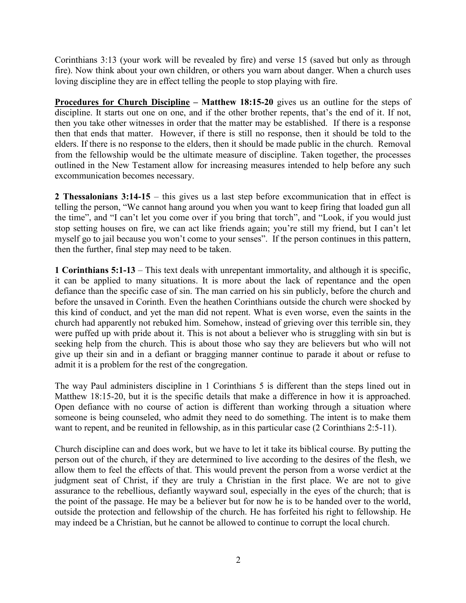Corinthians 3:13 (your work will be revealed by fire) and verse 15 (saved but only as through fire). Now think about your own children, or others you warn about danger. When a church uses loving discipline they are in effect telling the people to stop playing with fire.

**Procedures for Church Discipline – Matthew 18:15-20** gives us an outline for the steps of discipline. It starts out one on one, and if the other brother repents, that's the end of it. If not, then you take other witnesses in order that the matter may be established. If there is a response then that ends that matter. However, if there is still no response, then it should be told to the elders. If there is no response to the elders, then it should be made public in the church. Removal from the fellowship would be the ultimate measure of discipline. Taken together, the processes outlined in the New Testament allow for increasing measures intended to help before any such excommunication becomes necessary.

**2 Thessalonians 3:14-15** – this gives us a last step before excommunication that in effect is telling the person, "We cannot hang around you when you want to keep firing that loaded gun all the time", and "I can't let you come over if you bring that torch", and "Look, if you would just stop setting houses on fire, we can act like friends again; you're still my friend, but I can't let myself go to jail because you won't come to your senses". If the person continues in this pattern, then the further, final step may need to be taken.

**1 Corinthians 5:1-13** – This text deals with unrepentant immortality, and although it is specific, it can be applied to many situations. It is more about the lack of repentance and the open defiance than the specific case of sin. The man carried on his sin publicly, before the church and before the unsaved in Corinth. Even the heathen Corinthians outside the church were shocked by this kind of conduct, and yet the man did not repent. What is even worse, even the saints in the church had apparently not rebuked him. Somehow, instead of grieving over this terrible sin, they were puffed up with pride about it. This is not about a believer who is struggling with sin but is seeking help from the church. This is about those who say they are believers but who will not give up their sin and in a defiant or bragging manner continue to parade it about or refuse to admit it is a problem for the rest of the congregation.

The way Paul administers discipline in 1 Corinthians 5 is different than the steps lined out in Matthew 18:15-20, but it is the specific details that make a difference in how it is approached. Open defiance with no course of action is different than working through a situation where someone is being counseled, who admit they need to do something. The intent is to make them want to repent, and be reunited in fellowship, as in this particular case (2 Corinthians 2:5-11).

Church discipline can and does work, but we have to let it take its biblical course. By putting the person out of the church, if they are determined to live according to the desires of the flesh, we allow them to feel the effects of that. This would prevent the person from a worse verdict at the judgment seat of Christ, if they are truly a Christian in the first place. We are not to give assurance to the rebellious, defiantly wayward soul, especially in the eyes of the church; that is the point of the passage. He may be a believer but for now he is to be handed over to the world, outside the protection and fellowship of the church. He has forfeited his right to fellowship. He may indeed be a Christian, but he cannot be allowed to continue to corrupt the local church.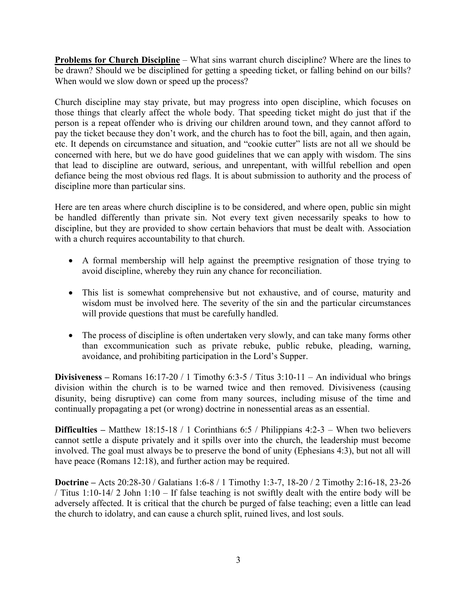**Problems for Church Discipline** – What sins warrant church discipline? Where are the lines to be drawn? Should we be disciplined for getting a speeding ticket, or falling behind on our bills? When would we slow down or speed up the process?

Church discipline may stay private, but may progress into open discipline, which focuses on those things that clearly affect the whole body. That speeding ticket might do just that if the person is a repeat offender who is driving our children around town, and they cannot afford to pay the ticket because they don't work, and the church has to foot the bill, again, and then again, etc. It depends on circumstance and situation, and "cookie cutter" lists are not all we should be concerned with here, but we do have good guidelines that we can apply with wisdom. The sins that lead to discipline are outward, serious, and unrepentant, with willful rebellion and open defiance being the most obvious red flags. It is about submission to authority and the process of discipline more than particular sins.

Here are ten areas where church discipline is to be considered, and where open, public sin might be handled differently than private sin. Not every text given necessarily speaks to how to discipline, but they are provided to show certain behaviors that must be dealt with. Association with a church requires accountability to that church.

- A formal membership will help against the preemptive resignation of those trying to avoid discipline, whereby they ruin any chance for reconciliation.
- This list is somewhat comprehensive but not exhaustive, and of course, maturity and wisdom must be involved here. The severity of the sin and the particular circumstances will provide questions that must be carefully handled.
- The process of discipline is often undertaken very slowly, and can take many forms other than excommunication such as private rebuke, public rebuke, pleading, warning, avoidance, and prohibiting participation in the Lord's Supper.

**Divisiveness** – Romans  $16:17-20/1$  Timothy  $6:3-5/$  Titus  $3:10-11$  – An individual who brings division within the church is to be warned twice and then removed. Divisiveness (causing disunity, being disruptive) can come from many sources, including misuse of the time and continually propagating a pet (or wrong) doctrine in nonessential areas as an essential.

**Difficulties** – Matthew 18:15-18 / 1 Corinthians 6:5 / Philippians 4:2-3 – When two believers cannot settle a dispute privately and it spills over into the church, the leadership must become involved. The goal must always be to preserve the bond of unity (Ephesians 4:3), but not all will have peace (Romans 12:18), and further action may be required.

**Doctrine –** Acts 20:28-30 / Galatians 1:6-8 / 1 Timothy 1:3-7, 18-20 / 2 Timothy 2:16-18, 23-26 / Titus 1:10-14/ 2 John 1:10 – If false teaching is not swiftly dealt with the entire body will be adversely affected. It is critical that the church be purged of false teaching; even a little can lead the church to idolatry, and can cause a church split, ruined lives, and lost souls.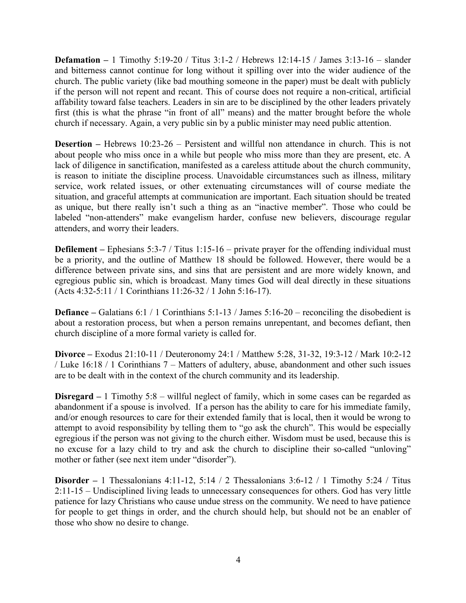**Defamation –** 1 Timothy 5:19-20 / Titus 3:1-2 / Hebrews 12:14-15 / James 3:13-16 – slander and bitterness cannot continue for long without it spilling over into the wider audience of the church. The public variety (like bad mouthing someone in the paper) must be dealt with publicly if the person will not repent and recant. This of course does not require a non-critical, artificial affability toward false teachers. Leaders in sin are to be disciplined by the other leaders privately first (this is what the phrase "in front of all" means) and the matter brought before the whole church if necessary. Again, a very public sin by a public minister may need public attention.

**Desertion** – Hebrews 10:23-26 – Persistent and willful non attendance in church. This is not about people who miss once in a while but people who miss more than they are present, etc. A lack of diligence in sanctification, manifested as a careless attitude about the church community, is reason to initiate the discipline process. Unavoidable circumstances such as illness, military service, work related issues, or other extenuating circumstances will of course mediate the situation, and graceful attempts at communication are important. Each situation should be treated as unique, but there really isn't such a thing as an "inactive member". Those who could be labeled "non-attenders" make evangelism harder, confuse new believers, discourage regular attenders, and worry their leaders.

**Defilement** – Ephesians 5:3-7 / Titus 1:15-16 – private prayer for the offending individual must be a priority, and the outline of Matthew 18 should be followed. However, there would be a difference between private sins, and sins that are persistent and are more widely known, and egregious public sin, which is broadcast. Many times God will deal directly in these situations (Acts 4:32-5:11 / 1 Corinthians 11:26-32 / 1 John 5:16-17).

**Defiance** – Galatians 6:1 / 1 Corinthians 5:1-13 / James 5:16-20 – reconciling the disobedient is about a restoration process, but when a person remains unrepentant, and becomes defiant, then church discipline of a more formal variety is called for.

**Divorce –** Exodus 21:10-11 / Deuteronomy 24:1 / Matthew 5:28, 31-32, 19:3-12 / Mark 10:2-12 / Luke 16:18 / 1 Corinthians 7 – Matters of adultery, abuse, abandonment and other such issues are to be dealt with in the context of the church community and its leadership.

**Disregard –** 1 Timothy 5:8 – willful neglect of family, which in some cases can be regarded as abandonment if a spouse is involved. If a person has the ability to care for his immediate family, and/or enough resources to care for their extended family that is local, then it would be wrong to attempt to avoid responsibility by telling them to "go ask the church". This would be especially egregious if the person was not giving to the church either. Wisdom must be used, because this is no excuse for a lazy child to try and ask the church to discipline their so-called "unloving" mother or father (see next item under "disorder").

**Disorder –** 1 Thessalonians 4:11-12, 5:14 / 2 Thessalonians 3:6-12 / 1 Timothy 5:24 / Titus 2:11-15 – Undisciplined living leads to unnecessary consequences for others. God has very little patience for lazy Christians who cause undue stress on the community. We need to have patience for people to get things in order, and the church should help, but should not be an enabler of those who show no desire to change.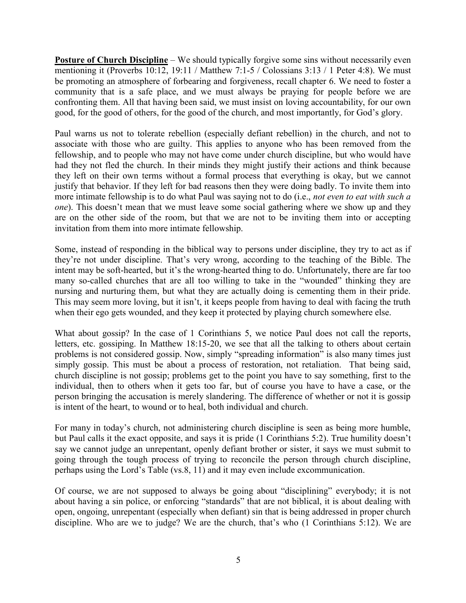**Posture of Church Discipline** – We should typically forgive some sins without necessarily even mentioning it (Proverbs 10:12, 19:11 / Matthew 7:1-5 / Colossians 3:13 / 1 Peter 4:8). We must be promoting an atmosphere of forbearing and forgiveness, recall chapter 6. We need to foster a community that is a safe place, and we must always be praying for people before we are confronting them. All that having been said, we must insist on loving accountability, for our own good, for the good of others, for the good of the church, and most importantly, for God's glory.

Paul warns us not to tolerate rebellion (especially defiant rebellion) in the church, and not to associate with those who are guilty. This applies to anyone who has been removed from the fellowship, and to people who may not have come under church discipline, but who would have had they not fled the church. In their minds they might justify their actions and think because they left on their own terms without a formal process that everything is okay, but we cannot justify that behavior. If they left for bad reasons then they were doing badly. To invite them into more intimate fellowship is to do what Paul was saying not to do (i.e., *not even to eat with such a one*). This doesn't mean that we must leave some social gathering where we show up and they are on the other side of the room, but that we are not to be inviting them into or accepting invitation from them into more intimate fellowship.

Some, instead of responding in the biblical way to persons under discipline, they try to act as if they're not under discipline. That's very wrong, according to the teaching of the Bible. The intent may be soft-hearted, but it's the wrong-hearted thing to do. Unfortunately, there are far too many so-called churches that are all too willing to take in the "wounded" thinking they are nursing and nurturing them, but what they are actually doing is cementing them in their pride. This may seem more loving, but it isn't, it keeps people from having to deal with facing the truth when their ego gets wounded, and they keep it protected by playing church somewhere else.

What about gossip? In the case of 1 Corinthians 5, we notice Paul does not call the reports, letters, etc. gossiping. In Matthew 18:15-20, we see that all the talking to others about certain problems is not considered gossip. Now, simply "spreading information" is also many times just simply gossip. This must be about a process of restoration, not retaliation. That being said, church discipline is not gossip; problems get to the point you have to say something, first to the individual, then to others when it gets too far, but of course you have to have a case, or the person bringing the accusation is merely slandering. The difference of whether or not it is gossip is intent of the heart, to wound or to heal, both individual and church.

For many in today's church, not administering church discipline is seen as being more humble, but Paul calls it the exact opposite, and says it is pride (1 Corinthians 5:2). True humility doesn't say we cannot judge an unrepentant, openly defiant brother or sister, it says we must submit to going through the tough process of trying to reconcile the person through church discipline, perhaps using the Lord's Table (vs.8, 11) and it may even include excommunication.

Of course, we are not supposed to always be going about "disciplining" everybody; it is not about having a sin police, or enforcing "standards" that are not biblical, it is about dealing with open, ongoing, unrepentant (especially when defiant) sin that is being addressed in proper church discipline. Who are we to judge? We are the church, that's who (1 Corinthians 5:12). We are